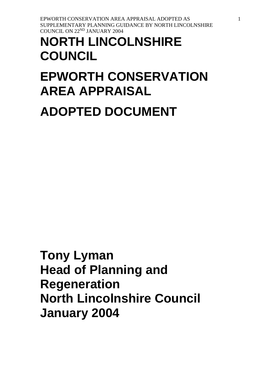**COUNCIL**

**EPWORTH CONSERVATION** 

**AREA APPRAISAL**

**ADOPTED DOCUMENT**

**NORTH LINCOLNSHIRE** 

EPWORTH CONSERVATION AREA APPRAISAL ADOPTED AS SUPPLEMENTARY PLANNING GUIDANCE BY NORTH LINCOLNSHIRE COUNCIL ON 22ND JANUARY 2004

**Tony Lyman Head of Planning and Regeneration North Lincolnshire Council January 2004**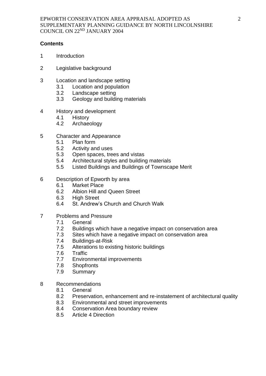### **Contents**

- 1 Introduction
- 2 Legislative background
- 3 Location and landscape setting
	- 3.1 Location and population
	- 3.2 Landscape setting
	- 3.3 Geology and building materials
- 4 History and development
	- 4.1 History
	- 4.2 Archaeology
- 5 Character and Appearance
	- 5.1 Plan form
	- 5.2 Activity and uses
	- 5.3 Open spaces, trees and vistas
	- 5.4 Architectural styles and building materials
	- 5.5 Listed Buildings and Buildings of Townscape Merit
- 6 Description of Epworth by area
	- 6.1 Market Place
	- 6.2 Albion Hill and Queen Street
	- 6.3 High Street
	- 6.4 St. Andrew's Church and Church Walk
- 7 Problems and Pressure
	- 7.1 General
	- 7.2 Buildings which have a negative impact on conservation area
	- 7.3 Sites which have a negative impact on conservation area
	- 7.4 Buildings-at-Risk
	- 7.5 Alterations to existing historic buildings
	- 7.6 Traffic
	- 7.7 Environmental improvements
	- 7.8 Shopfronts
	- 7.9 Summary
- 8 Recommendations
	- 8.1 General
	- 8.2 Preservation, enhancement and re-instatement of architectural quality
	- 8.3 Environmental and street improvements
	- 8.4 Conservation Area boundary review
	- 8.5 Article 4 Direction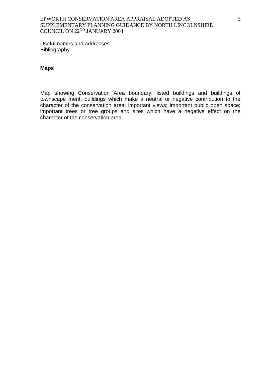Useful names and addresses Bibliography

#### **Maps**

Map showing Conservation Area boundary; listed buildings and buildings of townscape merit; buildings which make a neutral or negative contribution to the character of the conservation area; important views; important public open space; important trees or tree groups and sites which have a negative effect on the character of the conservation area.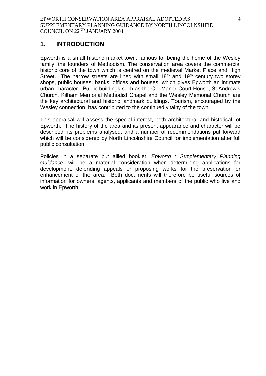# **1. INTRODUCTION**

Epworth is a small historic market town, famous for being the home of the Wesley family, the founders of Methodism. The conservation area covers the commercial historic core of the town which is centred on the medieval Market Place and High Street. The narrow streets are lined with small  $18<sup>th</sup>$  and  $19<sup>th</sup>$  century two storey shops, public houses, banks, offices and houses, which gives Epworth an intimate urban character. Public buildings such as the Old Manor Court House, St Andrew's Church, Kilham Memorial Methodist Chapel and the Wesley Memorial Church are the key architectural and historic landmark buildings. Tourism, encouraged by the Wesley connection, has contributed to the continued vitality of the town.

This appraisal will assess the special interest, both architectural and historical, of Epworth. The history of the area and its present appearance and character will be described, its problems analysed, and a number of recommendations put forward which will be considered by North Lincolnshire Council for implementation after full public consultation.

Policies in a separate but allied booklet, *Epworth : Supplementary Planning Guidance*, will be a material consideration when determining applications for development, defending appeals or proposing works for the preservation or enhancement of the area. Both documents will therefore be useful sources of information for owners, agents, applicants and members of the public who live and work in Epworth.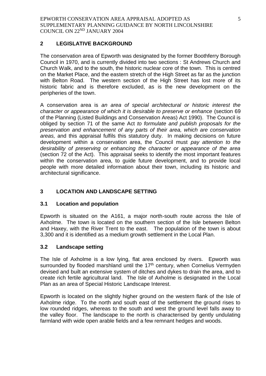## **2 LEGISLATIVE BACKGROUND**

The conservation area of Epworth was designated by the former Boothferry Borough Council in 1970, and is currently divided into two sections : St Andrews Church and Church Walk, and to the south, the historic nuclear core of the town. This is centred on the Market Place, and the eastern stretch of the High Street as far as the junction with Belton Road. The western section of the High Street has lost more of its historic fabric and is therefore excluded, as is the new development on the peripheries of the town.

A conservation area is *an area of special architectural or historic interest the character or appearance of which it is desirable to preserve or enhance* (section 69 of the Planning (Listed Buildings and Conservation Areas) Act 1990). The Council is obliged by section 71 of the same Act *to formulate and publish proposals for the preservation and enhancement of any parts of their area, which are conservation areas,* and this appraisal fulfils this statutory duty. In making decisions on future development within a conservation area, the Council must *pay attention to the desirability of preserving or enhancing the character or appearance of the area* (section 72 of the Act). This appraisal seeks to identify the most important features within the conservation area, to guide future development, and to provide local people with more detailed information about their town, including its historic and architectural significance.

# **3 LOCATION AND LANDSCAPE SETTING**

## **3.1 Location and population**

Epworth is situated on the A161, a major north-south route across the Isle of Axholme. The town is located on the southern section of the Isle between Belton and Haxey, with the River Trent to the east. The population of the town is about 3,300 and it is identified as a medium growth settlement in the Local Plan.

## **3.2 Landscape setting**

The Isle of Axholme is a low lying, flat area enclosed by rivers. Epworth was surrounded by flooded marshland until the 17<sup>th</sup> century, when Cornelius Vermyden devised and built an extensive system of ditches and dykes to drain the area, and to create rich fertile agricultural land. The Isle of Axholme is designated in the Local Plan as an area of Special Historic Landscape Interest.

Epworth is located on the slightly higher ground on the western flank of the Isle of Axholme ridge. To the north and south east of the settlement the ground rises to low rounded ridges, whereas to the south and west the ground level falls away to the valley floor. The landscape to the north is characterised by gently undulating farmland with wide open arable fields and a few remnant hedges and woods.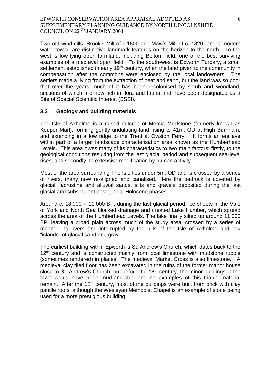Two old windmills, Brook's Mill of c.1800 and Maw's Mill of c. 1820, and a modern water tower, are distinctive landmark features on the horizon to the north. To the west is low lying open farmland, including Belton Field, one of the best surviving examples of a medieval open field. To the south-west is Epworth Turbary, a small settlement established in early  $19<sup>th</sup>$  century, when the land given to the community in compensation after the commons were enclosed by the local landowners. The settlers made a living from the extraction of peat and sand, but the land was so poor that over the years much of it has been recolonised by scrub and woodland, sections of which are now rich in flora and fauna and have been designated as a Site of Special Scientific Interest (SSSI).

#### **3.3 Geology and building materials**

The Isle of Axholme is a raised outcrop of Mercia Mudstone (formerly known as Keuper Marl), forming gently undulating land rising to 41m. OD at High Burnham, and extending in a low ridge to the Trent at Owston Ferry. It forms an enclave within part of a larger landscape characterisation area known as the Humberhead Levels. This area owes many of its characteristics to two main factors: firstly, to the geological conditions resulting from the last glacial period and subsequent sea-level rises, and secondly, to extensive modification by human activity.

Most of the area surrounding The Isle lies under 5m. OD and is crossed by a series of rivers, many now re-aligned and canalised. Here the bedrock is covered by glacial, lacrustine and alluvial sands, silts and gravels deposited during the last glacial and subsequent post-glacial Holocene phases.

Around c. 18,000 – 11,000 BP, during the last glacial period, ice sheets in the Vale of York and North Sea blocked drainage and created Lake Humber, which spread across the area of the Humberhead Levels. The lake finally silted up around 11,000 BP, leaving a broad plain across much of the study area, crossed by a series of meandering rivers and interrupted by the hills of the Isle of Axholme and low "islands" of glacial sand and gravel.

The earliest building within Epworth is St. Andrew's Church, which dates back to the 12<sup>th</sup> century and is constructed mainly from local limestone with mudstone rubble (sometimes rendered) in places. The medieval Market Cross is also limestone. A medieval clay tiled floor has been excavated in the ruins of the former manor house close to St. Andrew's Church, but before the  $18<sup>th</sup>$  century, the minor buildings in the town would have been mud-and-stud and no examples of this friable material remain. After the 18<sup>th</sup> century, most of the buildings were built from brick with clay pantile roofs, although the Wesleyan Methodist Chapel is an example of stone being used for a more prestigious building.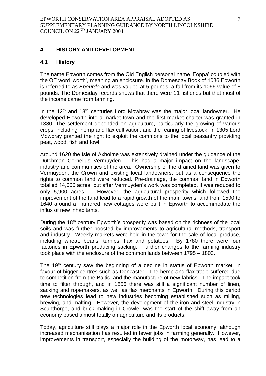#### **4 HISTORY AND DEVELOPMENT**

#### **4.1 History**

The name Epworth comes from the Old English personal name 'Eoppa' coupled with the OE word 'worth', meaning an enclosure. In the Domesday Book of 1086 Epworth is referred to as *Epeurde* and was valued at 5 pounds, a fall from its 1066 value of 8 pounds. The Domesday records shows that there were 11 fisheries but that most of the income came from farming.

In the  $12<sup>th</sup>$  and  $13<sup>th</sup>$  centuries Lord Mowbray was the major local landowner. He developed Epworth into a market town and the first market charter was granted in 1380. The settlement depended on agriculture, particularly the growing of various crops, including hemp and flax cultivation, and the rearing of livestock. In 1305 Lord Mowbray granted the right to exploit the commons to the local peasantry providing peat, wood, fish and fowl.

Around 1620 the Isle of Axholme was extensively drained under the guidance of the Dutchman Cornelius Vermuyden. This had a major impact on the landscape, industry and communities of the area. Ownership of the drained land was given to Vermuyden, the Crown and existing local landowners, but as a consequence the rights to common land were reduced. Pre-drainage, the common land in Epworth totalled 14,000 acres, but after Vermuyden's work was completed, it was reduced to only 5,900 acres. However, the agricultural prosperity which followed the improvement of the land lead to a rapid growth of the main towns, and from 1590 to 1640 around a hundred new cottages were built in Epworth to accommodate the influx of new inhabitants.

During the 18<sup>th</sup> century Epworth's prosperity was based on the richness of the local soils and was further boosted by improvements to agricultural methods, transport and industry. Weekly markets were held in the town for the sale of local produce, including wheat, beans, turnips, flax and potatoes. By 1780 there were four factories in Epworth producing sacking. Further changes to the farming industry took place with the enclosure of the common lands between 1795 – 1803.

The 19<sup>th</sup> century saw the beginning of a decline in status of Epworth market, in favour of bigger centres such as Doncaster. The hemp and flax trade suffered due to competition from the Baltic, and the manufacture of new fabrics. The impact took time to filter through, and in 1856 there was still a significant number of linen, sacking and ropemakers, as well as flax merchants in Epworth. During this period new technologies lead to new industries becoming established such as milling, brewing, and malting. However, the development of the iron and steel industry in Scunthorpe, and brick making in Crowle, was the start of the shift away from an economy based almost totally on agriculture and its products.

Today, agriculture still plays a major role in the Epworth local economy, although increased mechanisation has resulted in fewer jobs in farming generally. However, improvements in transport, especially the building of the motorway, has lead to a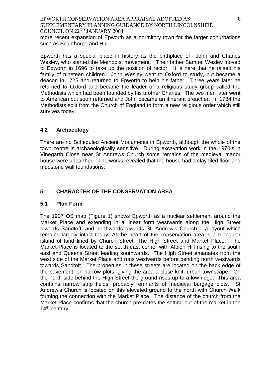more recent expansion of Epworth as a dormitory town for the larger conurbations such as Scunthorpe and Hull.

Epworth has a special place in history as the birthplace of John and Charles Wesley, who started the Methodist movement. Their father Samuel Wesley moved to Epworth in 1696 to take up the position of rector. It is here that he raised his family of nineteen children. John Wesley went to Oxford to study, but became a deacon in 1725 and returned to Epworth to help his father. Three years later he returned to Oxford and became the leader of a religious study group called the Methodists which had been founded by his brother Charles. The two men later went to American but soon returned and John became an itinerant preacher. In 1784 the Methodists split from the Church of England to form a new religious order which still survives today.

### **4.2 Archaeology**

There are no Scheduled Ancient Monuments in Epworth, although the whole of the town centre is archaeologically sensitive. During excavation work in the 1970's in Vinegarth Close near St Andrews Church some remains of the medieval manor house were unearthed. The works revealed that the house had a clay tiled floor and mudstone wall foundations.

## **5 CHARACTER OF THE CONSERVATION AREA**

#### **5.1 Plan Form**

The 1907 OS map (Figure 1) shows Epworth as a nuclear settlement around the Market Place and extending in a linear form westwards along the High Street towards Sandtoft, and northwards towards St. Andrew's Church – a layout which remains largely intact today. At the heart of the conservation area is a triangular island of land lined by Church Street, The High Street and Market Place. The Market Place is located to the south east corner with Albion Hill rising to the south east and Queens Street leading southwards. The High Street emanates from the west side of the Market Place and runs westwards before bending north westwards towards Sandtoft. The properties in these streets are located on the back edge of the pavement, on narrow plots, giving the area a close-knit, urban townscape. On the north side behind the High Street the ground rises up to a low ridge. This area contains narrow strip fields, probably remnants of medieval burgage plots. St Andrew's Church is located on this elevated ground to the north with Church Walk forming the connection with the Market Place. The distance of the church from the Market Place confirms that the church pre-dates the setting out of the market in the 14<sup>th</sup> century.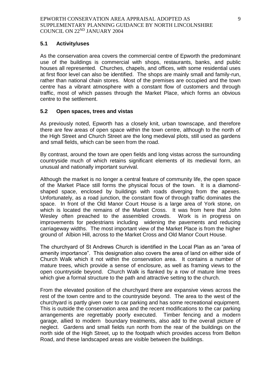#### **5.1 Activity/uses**

As the conservation area covers the commercial centre of Epworth the predominant use of the buildings is commercial with shops, restaurants, banks, and public houses all represented. Churches, chapels, and offices, with some residential uses at first floor level can also be identified. The shops are mainly small and family-run, rather than national chain stores. Most of the premises are occupied and the town centre has a vibrant atmosphere with a constant flow of customers and through traffic, most of which passes through the Market Place, which forms an obvious centre to the settlement.

### **5.2 Open spaces, trees and vistas**

As previously noted, Epworth has a closely knit, urban townscape, and therefore there are few areas of open space within the town centre, although to the north of the High Street and Church Street are the long medieval plots, still used as gardens and small fields, which can be seen from the road.

By contrast, around the town are open fields and long vistas across the surrounding countryside much of which retains significant elements of its medieval form, an unusual and nationally important survival.

Although the market is no longer a central feature of community life, the open space of the Market Place still forms the physical focus of the town. It is a diamondshaped space, enclosed by buildings with roads diverging from the apexes. Unfortunately, as a road junction, the constant flow of through traffic dominates the space. In front of the Old Manor Court House is a large area of York stone, on which is located the remains of the Market Cross. It was from here that John Wesley often preached to the assembled crowds. Work is in progress on improvements for pedestrians including widening the pavements and reducing carriageway widths. The most important view of the Market Place is from the higher ground of Albion Hill, across to the Market Cross and Old Manor Court House.

The churchyard of St Andrews Church is identified in the Local Plan as an "area of amenity importance". This designation also covers the area of land on either side of Church Walk which it not within the conservation area. It contains a number of mature trees, which provide a sense of enclosure, as well as framing views to the open countryside beyond. Church Walk is flanked by a row of mature lime trees which give a formal structure to the path and attractive setting to the church.

From the elevated position of the churchyard there are expansive views across the rest of the town centre and to the countryside beyond. The area to the west of the churchyard is partly given over to car parking and has some recreational equipment. This is outside the conservation area and the recent modifications to the car parking arrangements are regrettably poorly executed. Timber fencing and a modern garage, allied to modern boundary treatments, also add to the overall picture of neglect. Gardens and small fields run north from the rear of the buildings on the north side of the High Street, up to the footpath which provides access from Belton Road, and these landscaped areas are visible between the buildings.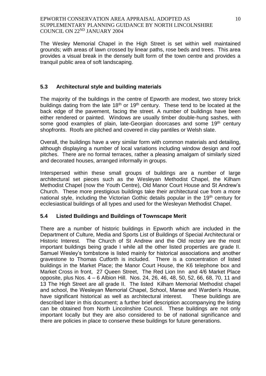The Wesley Memorial Chapel in the High Street is set within well maintained grounds; with areas of lawn crossed by linear paths, rose beds and trees. This area provides a visual break in the densely built form of the town centre and provides a tranquil public area of soft landscaping.

### **5.3 Architectural style and building materials**

The majority of the buildings in the centre of Epworth are modest, two storey brick buildings dating from the late  $18<sup>th</sup>$  or  $19<sup>th</sup>$  century. These tend to be located at the back edge of the pavement, facing the street. A number of buildings have been either rendered or painted. Windows are usually timber double-hung sashes, with some good examples of plain, late-Georgian doorcases and some 19<sup>th</sup> century shopfronts. Roofs are pitched and covered in clay pantiles or Welsh slate.

Overall, the buildings have a very similar form with common materials and detailing, although displaying a number of local variations including window design and roof pitches. There are no formal terraces, rather a pleasing amalgam of similarly sized and decorated houses, arranged informally in groups.

Interspersed within these small groups of buildings are a number of large architectural set pieces such as the Wesleyan Methodist Chapel, the Kilham Methodist Chapel (now the Youth Centre), Old Manor Court House and St Andrew's Church. These more prestigious buildings take their architectural cue from a more national style, including the Victorian Gothic details popular in the 19<sup>th</sup> century for ecclesiastical buildings of all types and used for the Wesleyan Methodist Chapel.

## **5.4 Listed Buildings and Buildings of Townscape Merit**

There are a number of historic buildings in Epworth which are included in the Department of Culture, Media and Sports List of Buildings of Special Architectural or Historic Interest. The Church of St Andrew and the Old rectory are the most important buildings being grade I while all the other listed properties are grade II. Samuel Wesley's tombstone is listed mainly for historical associations and another gravestone to Thomas Cutforth is included. There is a concentration of listed buildings in the Market Place; the Manor Court House, the K6 telephone box and Market Cross in front, 27 Queen Street, The Red Lion Inn and 4/6 Market Place opposite, plus Nos. 4 – 6 Albion Hill. Nos. 24, 26, 46, 48, 50, 52, 66, 68, 70, 11 and 13 The High Street are all grade II. The listed Kilham Memorial Methodist chapel and school, the Wesleyan Memorial Chapel, School, Manse and Warden's House, have significant historical as well as architectural interest. These buildings are described later in this document; a further brief description accompanying the listing can be obtained from North Lincolnshire Council. These buildings are not only important locally but they are also considered to be of national significance and there are policies in place to conserve these buildings for future generations.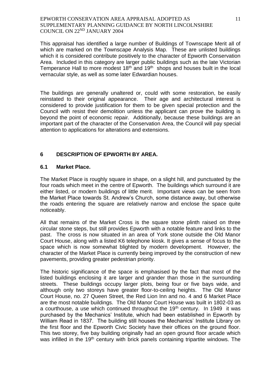This appraisal has identified a large number of Buildings of Townscape Merit all of which are marked on the Townscape Analysis Map. These are unlisted buildings which it is considered contribute positively to the character of Epworth Conservation Area. Included in this category are larger public buildings such as the late Victorian Temperance Hall to more modest  $18<sup>th</sup>$  and  $19<sup>th</sup>$  shops and houses built in the local vernacular style, as well as some later Edwardian houses.

The buildings are generally unaltered or, could with some restoration, be easily reinstated to their original appearance. Their age and architectural interest is considered to provide justification for them to be given special protection and the Council with resist their demolition unless the applicant can prove the building is beyond the point of economic repair. Additionally, because these buildings are an important part of the character of the Conservation Area, the Council will pay special attention to applications for alterations and extensions.

## **6 DESCRIPTION OF EPWORTH BY AREA.**

#### **6.1 Market Place.**

The Market Place is roughly square in shape, on a slight hill, and punctuated by the four roads which meet in the centre of Epworth. The buildings which surround it are either listed, or modern buildings of little merit. Important views can be seen from the Market Place towards St. Andrew's Church, some distance away, but otherwise the roads entering the square are relatively narrow and enclose the space quite noticeably.

All that remains of the Market Cross is the square stone plinth raised on three circular stone steps, but still provides Epworth with a notable feature and links to the past. The cross is now situated in an area of York stone outside the Old Manor Court House, along with a listed K6 telephone kiosk. It gives a sense of focus to the space which is now somewhat blighted by modern development. However, the character of the Market Place is currently being improved by the construction of new pavements, providing greater pedestrian priority.

The historic significance of the space is emphasised by the fact that most of the listed buildings enclosing it are larger and grander than those in the surrounding streets. These buildings occupy larger plots, being four or five bays wide, and although only two storeys have greater floor-to-ceiling heights. The Old Manor Court House, no. 27 Queen Street, the Red Lion Inn and no. 4 and 6 Market Place are the most notable buildings. The Old Manor Court House was built in 1802-03 as a courthouse, a use which continued throughout the  $19<sup>th</sup>$  century. In 1949 it was purchased by the Mechanics' Institute, which had been established in Epworth by William Read in 1837. The building still houses the Mechanics' Institute Library on the first floor and the Epworth Civic Society have their offices on the ground floor. This two storey, five bay building originally had an open ground floor arcade which was infilled in the 19<sup>th</sup> century with brick panels containing tripartite windows. The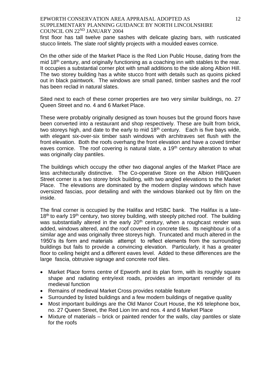first floor has tall twelve pane sashes with delicate glazing bars, with rusticated stucco lintels. The slate roof slightly projects with a moulded eaves cornice.

On the other side of the Market Place is the Red Lion Public House, dating from the mid 18<sup>th</sup> century, and originally functioning as a coaching inn with stables to the rear. It occupies a substantial corner plot with small additions to the side along Albion Hill. The two storey building has a white stucco front with details such as quoins picked out in black paintwork. The windows are small paned, timber sashes and the roof has been reclad in natural slates.

Sited next to each of these corner properties are two very similar buildings, no. 27 Queen Street and no. 4 and 6 Market Place.

These were probably originally designed as town houses but the ground floors have been converted into a restaurant and shop respectively. These are built from brick, two storeys high, and date to the early to mid  $18<sup>th</sup>$  century. Each is five bays wide, with elegant six-over-six timber sash windows with architraves set flush with the front elevation. Both the roofs overhang the front elevation and have a coved timber eaves cornice. The roof covering is natural slate, a  $19<sup>th</sup>$  century alteration to what was originally clay pantiles.

The buildings which occupy the other two diagonal angles of the Market Place are less architecturally distinctive. The Co-operative Store on the Albion Hill/Queen Street corner is a two storey brick building, with two angled elevations to the Market Place. The elevations are dominated by the modern display windows which have oversized fascias, poor detailing and with the windows blanked out by film on the inside.

The final corner is occupied by the Halifax and HSBC bank. The Halifax is a late- $18<sup>th</sup>$  to early  $19<sup>th</sup>$  century, two storey building, with steeply pitched roof. The building was substantially altered in the early  $20<sup>th</sup>$  century, when a roughcast render was added, windows altered, and the roof covered in concrete tiles. Its neighbour is of a similar age and was originally three storeys high. Truncated and much altered in the 1950's its form and materials attempt to reflect elements from the surrounding buildings but fails to provide a convincing elevation. Particularly, it has a greater floor to ceiling height and a different eaves level. Added to these differences are the large fascia, obtrusive signage and concrete roof tiles.

- Market Place forms centre of Epworth and its plan form, with its roughly square shape and radiating entry/exit roads, provides an important reminder of its medieval function
- Remains of medieval Market Cross provides notable feature
- Surrounded by listed buildings and a few modern buildings of negative quality
- Most important buildings are the Old Manor Court House, the K6 telephone box, no. 27 Queen Street, the Red Lion Inn and nos. 4 and 6 Market Place
- Mixture of materials brick or painted render for the walls, clay pantiles or slate for the roofs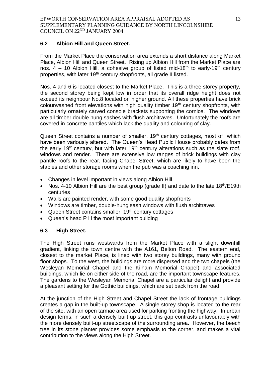### **6.2 Albion Hill and Queen Street.**

From the Market Place the conservation area extends a short distance along Market Place, Albion Hill and Queen Street. Rising up Albion Hill from the Market Place are nos.  $4 - 10$  Albion Hill, a cohesive group of listed mid-18<sup>th</sup> to early-19<sup>th</sup> century properties, with later 19<sup>th</sup> century shopfronts, all grade II listed.

Nos. 4 and 6 is located closest to the Market Place. This is a three storey property, the second storey being kept low in order that its overall ridge height does not exceed its neighbour No.8 located on higher ground. All these properties have brick colourwashed front elevations with high quality timber  $19<sup>th</sup>$  century shopfronts, with particularly ornately carved console brackets supporting the cornice. The windows are all timber double hung sashes with flush architraves. Unfortunately the roofs are covered in concrete pantiles which lack the quality and colouring of clay.

Queen Street contains a number of smaller, 19<sup>th</sup> century cottages, most of which have been variously altered. The Queen's Head Public House probably dates from the early 19<sup>th</sup> century, but with later 19<sup>th</sup> century alterations such as the slate roof, windows and render. There are extensive low ranges of brick buildings with clay pantile roofs to the rear, facing Chapel Street, which are likely to have been the stables and other storage rooms when the pub was a coaching inn.

- Changes in level important in views along Albion Hill
- Nos. 4-10 Albion Hill are the best group (grade II) and date to the late  $18<sup>th</sup>/E19th$ centuries
- Walls are painted render, with some good quality shopfronts
- Windows are timber, double-hung sash windows with flush architraves
- Queen Street contains smaller, 19<sup>th</sup> century cottages
- Queen's head P H the most important building

#### **6.3 High Street.**

The High Street runs westwards from the Market Place with a slight downhill gradient, linking the town centre with the A161, Belton Road. The eastern end, closest to the market Place, is lined with two storey buildings, many with ground floor shops. To the west, the buildings are more dispersed and the two chapels (the Wesleyan Memorial Chapel and the Kilham Memorial Chapel) and associated buildings, which lie on either side of the road, are the important townscape features. The gardens to the Wesleyan Memorial Chapel are a particular delight and provide a pleasant setting for the Gothic buildings, which are set back from the road.

At the junction of the High Street and Chapel Street the lack of frontage buildings creates a gap in the built-up townscape. A single storey shop is located to the rear of the site, with an open tarmac area used for parking fronting the highway. In urban design terms, in such a densely built up street, this gap contrasts unfavourably with the more densely built-up streetscape of the surrounding area. However, the beech tree in its stone planter provides some emphasis to the corner, and makes a vital contribution to the views along the High Street.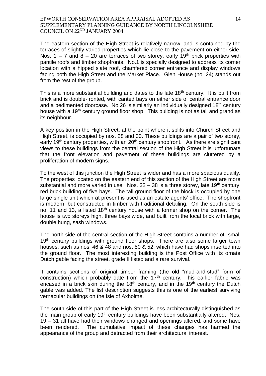The eastern section of the High Street is relatively narrow, and is contained by the terraces of slightly varied properties which lie close to the pavement on either side. Nos. 1 – 7 and 8 – 20 are terraces of two storey, early 19<sup>th</sup> brick properties with pantile roofs and timber shopfronts. No.1 is specially designed to address its corner location with a hipped slate roof, chamfered corner entrance and display windows facing both the High Street and the Market Place. Glen House (no. 24) stands out from the rest of the group.

This is a more substantial building and dates to the late  $18<sup>th</sup>$  century. It is built from brick and is double-fronted, with canted bays on either side of central entrance door and a pedimented doorcase. No.26 is similarly an individually designed 18<sup>th</sup> century house with a 19<sup>th</sup> century ground floor shop. This building is not as tall and grand as its neighbour.

A key position in the High Street, at the point where it splits into Church Street and High Street, is occupied by nos. 28 and 30. These buildings are a pair of two storey, early 19<sup>th</sup> century properties, with an  $20<sup>th</sup>$  century shopfront. As there are significant views to these buildings from the central section of the High Street it is unfortunate that the front elevation and pavement of these buildings are cluttered by a proliferation of modern signs.

To the west of this junction the High Street is wider and has a more spacious quality. The properties located on the eastern end of this section of the High Street are more substantial and more varied in use. Nos.  $32 - 38$  is a three storey, late 19<sup>th</sup> century, red brick building of five bays. The tall ground floor of the block is occupied by one large single unit which at present is used as an estate agents' office. The shopfront is modern, but constructed in timber with traditional detailing. On the south side is no. 11 and 13, a listed 18<sup>th</sup> century house with a former shop on the corner. The house is two storeys high, three bays wide, and built from the local brick with large, double hung, sash windows.

The north side of the central section of the High Street contains a number of small 19<sup>th</sup> century buildings with ground floor shops. There are also some larger town houses, such as nos. 46 & 48 and nos. 50 & 52, which have had shops inserted into the ground floor. The most interesting building is the Post Office with its ornate Dutch gable facing the street, grade II listed and a rare survival.

It contains sections of original timber framing (the old "mud-and-stud" form of construction) which probably date from the  $17<sup>th</sup>$  century. This earlier fabric was encased in a brick skin during the  $18<sup>th</sup>$  century, and in the  $19<sup>th</sup>$  century the Dutch gable was added. The list description suggests this is one of the earliest surviving vernacular buildings on the Isle of Axholme.

The south side of this part of the High Street is less architecturally distinguished as the main group of early 19<sup>th</sup> century buildings have been substantially altered. Nos. 19 – 31 all have had their windows changed and openings altered, and some have been rendered. The cumulative impact of these changes has harmed the appearance of the group and detracted from their architectural interest.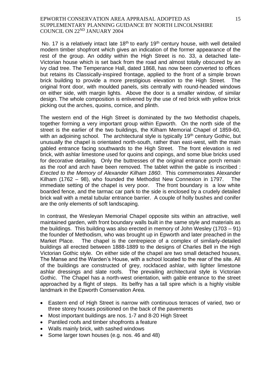No. 17 is a relatively intact late  $18<sup>th</sup>$  to early 19<sup>th</sup> century house, with well detailed modern timber shopfront which gives an indication of the former appearance of the rest of the group. An oddity within the High Street is no. 33, a detached late-Victorian house which is set back from the road and almost totally obscured by an ivy clad tree. The Temperance Hall, dated 1868, has now been converted to offices but retains its Classically-inspired frontage, applied to the front of a simple brown brick building to provide a more prestigious elevation to the High Street. The original front door, with moulded panels, sits centrally with round-headed windows on either side, with margin lights. Above the door is a smaller window, of similar design. The whole composition is enlivened by the use of red brick with yellow brick picking out the arches, quoins, cornice, and plinth.

The western end of the High Street is dominated by the two Methodist chapels, together forming a very important group within Epworth. On the north side of the street is the earlier of the two buildings, the Kilham Memorial Chapel of 1859-60, with an adjoining school. The architectural style is typically  $19<sup>th</sup>$  century Gothic, but unusually the chapel is orientated north-south, rather than east-west, with the main gabled entrance facing southwards to the High Street. The front elevation is red brick, with ashlar limestone used for quoins and copings, and some blue bricks used for decorative detailing. Only the buttresses of the original entrance porch remain as the roof and arch have been removed. The tablet within the gable is inscribed : *Erected to the Memory of Alexander Kilham 1860*. This commemorates Alexander Kilham (1762 – 98), who founded the Methodist New Connexion in 1797. immediate setting of the chapel is very poor. The front boundary is a low white boarded fence, and the tarmac car park to the side is enclosed by a crudely detailed brick wall with a metal tubular entrance barrier. A couple of holly bushes and conifer are the only elements of soft landscaping.

In contrast, the Wesleyan Memorial Chapel opposite sits within an attractive, well maintained garden, with front boundary walls built in the same style and materials as the buildings. This building was also erected in memory of John Wesley (1703 – 91) the founder of Methodism, who was brought up in Epworth and later preached in the Market Place. The chapel is the centrepiece of a complex of similarly-detailed buildings all erected between 1888-1889 to the designs of Charles Bell in the High Victorian Gothic style. On either side of the chapel are two small detached houses, The Manse and the Warden's House, with a school located to the rear of the site. All of the buildings are constructed of grey, rockfaced ashlar, with lighter limestone ashlar dressings and slate roofs. The prevailing architectural style is Victorian Gothic. The Chapel has a north-west orientation, with gable entrance to the street approached by a flight of steps. Its belfry has a tall spire which is a highly visible landmark in the Epworth Conservation Area.

- Eastern end of High Street is narrow with continuous terraces of varied, two or three storey houses positioned on the back of the pavements
- Most important buildings are nos. 1-7 and 8-20 High Street
- Pantiled roofs and timber shopfronts a feature
- Walls mainly brick, with sashed windows
- Some larger town houses (e.g. nos. 46 and 48)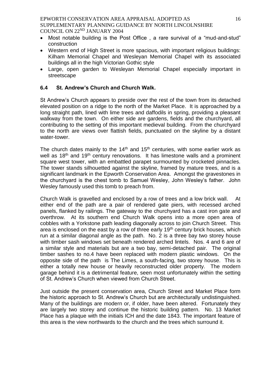- Most notable building is the Post Office , a rare survival of a "mud-and-stud" construction
- Western end of High Street is more spacious, with important religious buildings: Kilham Memorial Chapel and Wesleyan Memorial Chapel with its associated buildings all in the high Victorian Gothic style
- Large, open garden to Wesleyan Memorial Chapel especially important in streetscape

## **6.4 St. Andrew's Church and Church Walk.**

St Andrew's Church appears to preside over the rest of the town from its detached elevated position on a ridge to the north of the Market Place. It is approached by a long straight path, lined with lime trees and daffodils in spring, providing a pleasant walkway from the town. On either side are gardens, fields and the churchyard, all contributing to the setting of this important medieval building. From the churchyard to the north are views over flattish fields, punctuated on the skyline by a distant water-tower.

The church dates mainly to the  $14<sup>th</sup>$  and  $15<sup>th</sup>$  centuries, with some earlier work as well as 18<sup>th</sup> and 19<sup>th</sup> century renovations. It has limestone walls and a prominent square west tower, with an embattled parapet surmounted by crocketed pinnacles. The tower stands silhouetted against the skyline, framed by mature trees, and is a significant landmark in the Epworth Conservation Area. Amongst the gravestones in the churchyard is the chest tomb to Samuel Wesley, John Wesley's father. John Wesley famously used this tomb to preach from.

Church Walk is gravelled and enclosed by a row of trees and a low brick wall. At either end of the path are a pair of rendered gate piers, with recessed arched panels, flanked by railings. The gateway to the churchyard has a cast iron gate and overthrow. At its southern end Church Walk opens into a more open area of cobbles with a Yorkstone path leading diagonally across to join Church Street. This area is enclosed on the east by a row of three early  $19<sup>th</sup>$  century brick houses, which run at a similar diagonal angle as the path. No. 2 is a three bay two storey house with timber sash windows set beneath rendered arched lintels. Nos. 4 and 6 are of a similar style and materials but are a two bay, semi-detached pair. The original timber sashes to no.4 have been replaced with modern plastic windows. On the opposite side of the path is The Limes, a south-facing, two storey house. This is either a totally new house or heavily reconstructed older property. The modern garage behind it is a detrimental feature, seen most unfortunately within the setting of St. Andrew's Church when viewed from Church Street.

Just outside the present conservation area, Church Street and Market Place form the historic approach to St. Andrew's Church but are architecturally undistinguished. Many of the buildings are modern or, if older, have been altered. Fortunately they are largely two storey and continue the historic building pattern. No. 13 Market Place has a plaque with the initials ICH and the date 1843. The important feature of this area is the view northwards to the church and the trees which surround it.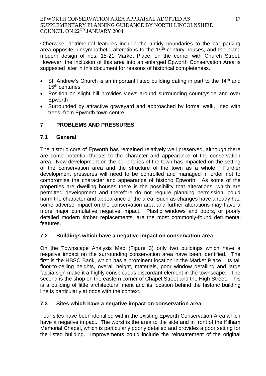Otherwise, detrimental features include the untidy boundaries to the car parking area opposite, unsympathetic alterations to the 19<sup>th</sup> century houses, and the bland modern design of nos. 15-21 Market Place, on the corner with Church Street. However, the inclusion of this area into an enlarged Epworth Conservation Area is suggested later in this document for reasons of historical completeness.

- $\bullet$  St. Andrew's Church is an important listed building dating in part to the 14<sup>th</sup> and 15<sup>th</sup> centuries
- Position on slight hill provides views around surrounding countryside and over Epworth
- Surrounded by attractive graveyard and approached by formal walk, lined with trees, from Epworth town centre

# **7 PROBLEMS AND PRESSURES**

## **7.1 General**

The historic core of Epworth has remained relatively well preserved, although there are some potential threats to the character and appearance of the conservation area. New development on the peripheries of the town has impacted on the setting of the conservation area and the structure of the town as a whole. Further development pressures will need to be controlled and managed in order not to compromise the character and appearance of historic Epworth. As some of the properties are dwelling houses there is the possibility that alterations, which are permitted development and therefore do not require planning permission, could harm the character and appearance of the area. Such as changes have already had some adverse impact on the conservation area and further alterations may have a more major cumulative negative impact. Plastic windows and doors, or poorly detailed modern timber replacements, are the most commonly-found detrimental features.

## **7.2 Buildings which have a negative impact on conservation area**

On the Townscape Analysis Map (Figure 3) only two buildings which have a negative impact on the surrounding conservation area have been identified. The first is the HBSC Bank, which has a prominent location in the Market Place. Its tall floor-to-ceiling heights, overall height, materials, poor window detailing and large fascia sign make it a highly conspicuous discordant element in the townscape. The second is the shop on the eastern corner of Chapel Street and the High Street. This is a building of little architectural merit and its location behind the historic building line is particularly at odds with the context.

## **7.3 Sites which have a negative impact on conservation area**

Four sites have been identified within the existing Epworth Conservation Area which have a negative impact. The worst is the area to the side and in front of the Kilham Memorial Chapel, which is particularly poorly detailed and provides a poor setting for the listed building. Improvements could include the reinstatement of the original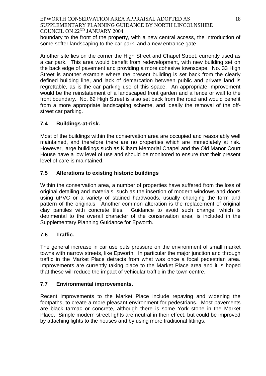boundary to the front of the property, with a new central access, the introduction of some softer landscaping to the car park, and a new entrance gate.

Another site lies on the corner the High Street and Chapel Street, currently used as a car park. This area would benefit from redevelopment, with new building set on the back edge of pavement and providing a more cohesive townscape. No. 33 High Street is another example where the present building is set back from the clearly defined building line, and lack of demarcation between public and private land is regrettable, as is the car parking use of this space. An appropriate improvement would be the reinstatement of a landscaped front garden and a fence or wall to the front boundary. No. 62 High Street is also set back from the road and would benefit from a more appropriate landscaping scheme, and ideally the removal of the offstreet car parking.

## **7.4 Buildings-at-risk.**

Most of the buildings within the conservation area are occupied and reasonably well maintained, and therefore there are no properties which are immediately at risk. However, large buildings such as Kilham Memorial Chapel and the Old Manor Court House have a low level of use and should be monitored to ensure that their present level of care is maintained.

# **7.5 Alterations to existing historic buildings**

Within the conservation area, a number of properties have suffered from the loss of original detailing and materials, such as the insertion of modern windows and doors using uPVC or a variety of stained hardwoods, usually changing the form and pattern of the originals. Another common alteration is the replacement of original clay pantiles with concrete tiles. Guidance to avoid such change, which is detrimental to the overall character of the conservation area, is included in the Supplementary Planning Guidance for Epworth.

# **7.6 Traffic.**

The general increase in car use puts pressure on the environment of small market towns with narrow streets, like Epworth. In particular the major junction and through traffic in the Market Place detracts from what was once a focal pedestrian area. Improvements are currently taking place to the Market Place area and it is hoped that these will reduce the impact of vehicular traffic in the town centre.

## **7.7 Environmental improvements.**

Recent improvements to the Market Place include repaving and widening the footpaths, to create a more pleasant environment for pedestrians. Most pavements are black tarmac or concrete, although there is some York stone in the Market Place. Simple modern street lights are neutral in their effect, but could be improved by attaching lights to the houses and by using more traditional fittings.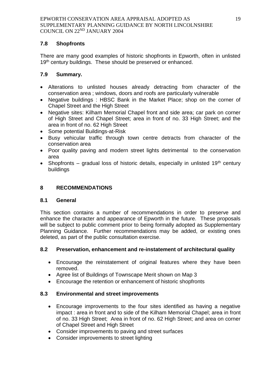## **7.8 Shopfronts**

There are many good examples of historic shopfronts in Epworth, often in unlisted 19<sup>th</sup> century buildings. These should be preserved or enhanced.

# **7.9 Summary.**

- Alterations to unlisted houses already detracting from character of the conservation area ; windows, doors and roofs are particularly vulnerable
- Negative buildings : HBSC Bank in the Market Place; shop on the corner of Chapel Street and the High Street
- Negative sites: Kilham Memorial Chapel front and side area; car park on corner of High Street and Chapel Street; area in front of no. 33 High Street; and the area in front of no. 62 High Street
- Some potential Buildings-at-Risk
- Busy vehicular traffic through town centre detracts from character of the conservation area
- Poor quality paving and modern street lights detrimental to the conservation area
- Shopfronts gradual loss of historic details, especially in unlisted 19<sup>th</sup> century buildings

# **8 RECOMMENDATIONS**

## **8.1 General**

This section contains a number of recommendations in order to preserve and enhance the character and appearance of Epworth in the future. These proposals will be subject to public comment prior to being formally adopted as Supplementary Planning Guidance. Further recommendations may be added, or existing ones deleted, as part of the public consultation exercise.

## **8.2 Preservation, enhancement and re-instatement of architectural quality**

- Encourage the reinstatement of original features where they have been removed.
- Agree list of Buildings of Townscape Merit shown on Map 3
- Encourage the retention or enhancement of historic shopfronts

## **8.3 Environmental and street improvements**

- Encourage improvements to the four sites identified as having a negative impact : area in front and to side of the Kilham Memorial Chapel; area in front of no. 33 High Street; Area in front of no. 62 High Street; and area on corner of Chapel Street and High Street
- Consider improvements to paving and street surfaces
- Consider improvements to street lighting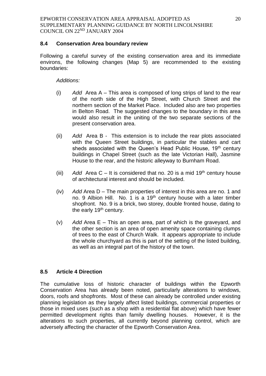### **8.4 Conservation Area boundary review**

Following a careful survey of the existing conservation area and its immediate environs, the following changes (Map 5) are recommended to the existing boundaries:

#### *Additions:*

- (i) *Add* Area A This area is composed of long strips of land to the rear of the north side of the High Street, with Church Street and the northern section of the Market Place. Included also are two properties in Belton Road. The suggested changes to the boundary in this area would also result in the uniting of the two separate sections of the present conservation area.
- (ii) *Add* Area B This extension is to include the rear plots associated with the Queen Street buildings, in particular the stables and cart sheds associated with the Queen's Head Public House, 19<sup>th</sup> century buildings in Chapel Street (such as the late Victorian Hall), Jasmine House to the rear, and the historic alleyway to Burnham Road.
- (iii) Add Area  $C It$  is considered that no. 20 is a mid 19<sup>th</sup> century house of architectural interest and should be included.
- (iv) *Add* Area D The main properties of interest in this area are no. 1 and no. 9 Albion Hill. No. 1 is a  $19<sup>th</sup>$  century house with a later timber shopfront. No. 9 is a brick, two storey, double fronted house, dating to the early 19<sup>th</sup> century.
- (v) *Add* Area E This an open area, part of which is the graveyard, and the other section is an area of open amenity space containing clumps of trees to the east of Church Walk. It appears appropriate to include the whole churchyard as this is part of the setting of the listed building, as well as an integral part of the history of the town.

## **8.5 Article 4 Direction**

The cumulative loss of historic character of buildings within the Epworth Conservation Area has already been noted, particularly alterations to windows, doors, roofs and shopfronts. Most of these can already be controlled under existing planning legislation as they largely affect listed buildings, commercial properties or those in mixed uses (such as a shop with a residential flat above) which have fewer permitted development rights than family dwelling houses. However, it is the alterations to such properties, all currently beyond planning control, which are adversely affecting the character of the Epworth Conservation Area.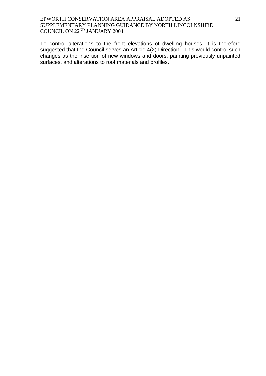To control alterations to the front elevations of dwelling houses, it is therefore suggested that the Council serves an Article 4(2) Direction. This would control such changes as the insertion of new windows and doors, painting previously unpainted surfaces, and alterations to roof materials and profiles.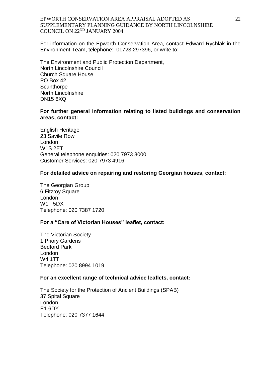For information on the Epworth Conservation Area, contact Edward Rychlak in the Environment Team, telephone: 01723 297396, or write to:

The Environment and Public Protection Department, North Lincolnshire Council Church Square House PO Box 42 **Scunthorpe** North Lincolnshire DN15 6XQ

#### **For further general information relating to listed buildings and conservation areas, contact:**

English Heritage 23 Savile Row London W1S 2ET General telephone enquiries: 020 7973 3000 Customer Services: 020 7973 4916

#### **For detailed advice on repairing and restoring Georgian houses, contact:**

The Georgian Group 6 Fitzroy Square London W1T 5DX Telephone: 020 7387 1720

#### **For a "Care of Victorian Houses" leaflet, contact:**

The Victorian Society 1 Priory Gardens Bedford Park London W4 1TT Telephone: 020 8994 1019

#### **For an excellent range of technical advice leaflets, contact:**

The Society for the Protection of Ancient Buildings (SPAB) 37 Spital Square London E1 6DY Telephone: 020 7377 1644